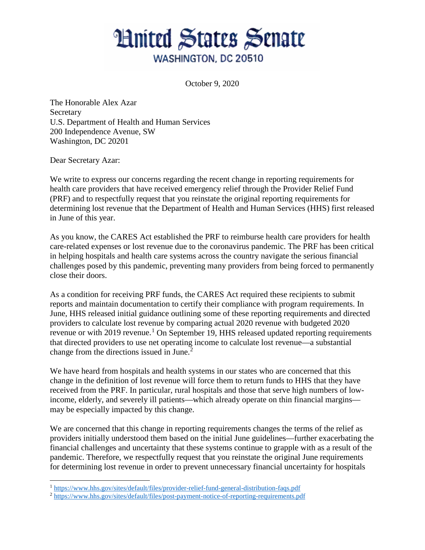## **Hnited States Senate** WASHINGTON, DC 20510

October 9, 2020

The Honorable Alex Azar **Secretary** U.S. Department of Health and Human Services 200 Independence Avenue, SW Washington, DC 20201

Dear Secretary Azar:

 $\ddot{\phantom{a}}$ 

We write to express our concerns regarding the recent change in reporting requirements for health care providers that have received emergency relief through the Provider Relief Fund (PRF) and to respectfully request that you reinstate the original reporting requirements for determining lost revenue that the Department of Health and Human Services (HHS) first released in June of this year.

As you know, the CARES Act established the PRF to reimburse health care providers for health care-related expenses or lost revenue due to the coronavirus pandemic. The PRF has been critical in helping hospitals and health care systems across the country navigate the serious financial challenges posed by this pandemic, preventing many providers from being forced to permanently close their doors.

As a condition for receiving PRF funds, the CARES Act required these recipients to submit reports and maintain documentation to certify their compliance with program requirements. In June, HHS released initial guidance outlining some of these reporting requirements and directed providers to calculate lost revenue by comparing actual 2020 revenue with budgeted 2020 revenue or with 20[1](#page-0-0)9 revenue.<sup>1</sup> On September 19, HHS released updated reporting requirements that directed providers to use net operating income to calculate lost revenue—a substantial change from the directions issued in June.<sup>[2](#page-0-1)</sup>

We have heard from hospitals and health systems in our states who are concerned that this change in the definition of lost revenue will force them to return funds to HHS that they have received from the PRF. In particular, rural hospitals and those that serve high numbers of lowincome, elderly, and severely ill patients—which already operate on thin financial margins may be especially impacted by this change.

We are concerned that this change in reporting requirements changes the terms of the relief as providers initially understood them based on the initial June guidelines—further exacerbating the financial challenges and uncertainty that these systems continue to grapple with as a result of the pandemic. Therefore, we respectfully request that you reinstate the original June requirements for determining lost revenue in order to prevent unnecessary financial uncertainty for hospitals

<span id="page-0-0"></span><sup>&</sup>lt;sup>1</sup> <https://www.hhs.gov/sites/default/files/provider-relief-fund-general-distribution-faqs.pdf>

<span id="page-0-1"></span><sup>2</sup> <https://www.hhs.gov/sites/default/files/post-payment-notice-of-reporting-requirements.pdf>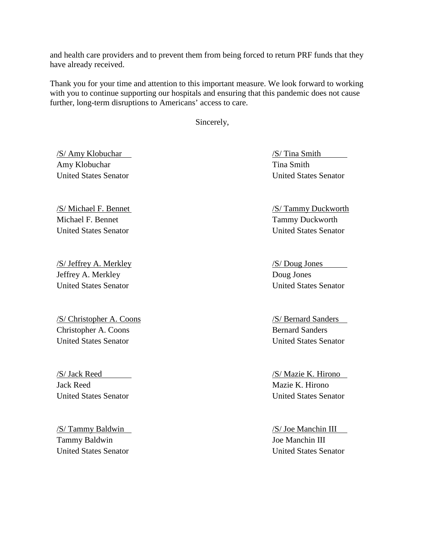and health care providers and to prevent them from being forced to return PRF funds that they have already received.

Thank you for your time and attention to this important measure. We look forward to working with you to continue supporting our hospitals and ensuring that this pandemic does not cause further, long-term disruptions to Americans' access to care.

Sincerely,

/S/ Amy Klobuchar Amy Klobuchar United States Senator

/S/ Michael F. Bennet Michael F. Bennet United States Senator

/S/ Jeffrey A. Merkley Jeffrey A. Merkley United States Senator

/S/ Christopher A. Coons Christopher A. Coons United States Senator

/S/ Jack Reed Jack Reed United States Senator

/S/ Tammy Baldwin Tammy Baldwin United States Senator

/S/ Tina Smith Tina Smith United States Senator

/S/ Tammy Duckworth Tammy Duckworth United States Senator

/S/ Doug Jones Doug Jones United States Senator

/S/ Bernard Sanders Bernard Sanders United States Senator

/S/ Mazie K. Hirono Mazie K. Hirono United States Senator

/S/ Joe Manchin III Joe Manchin III United States Senator